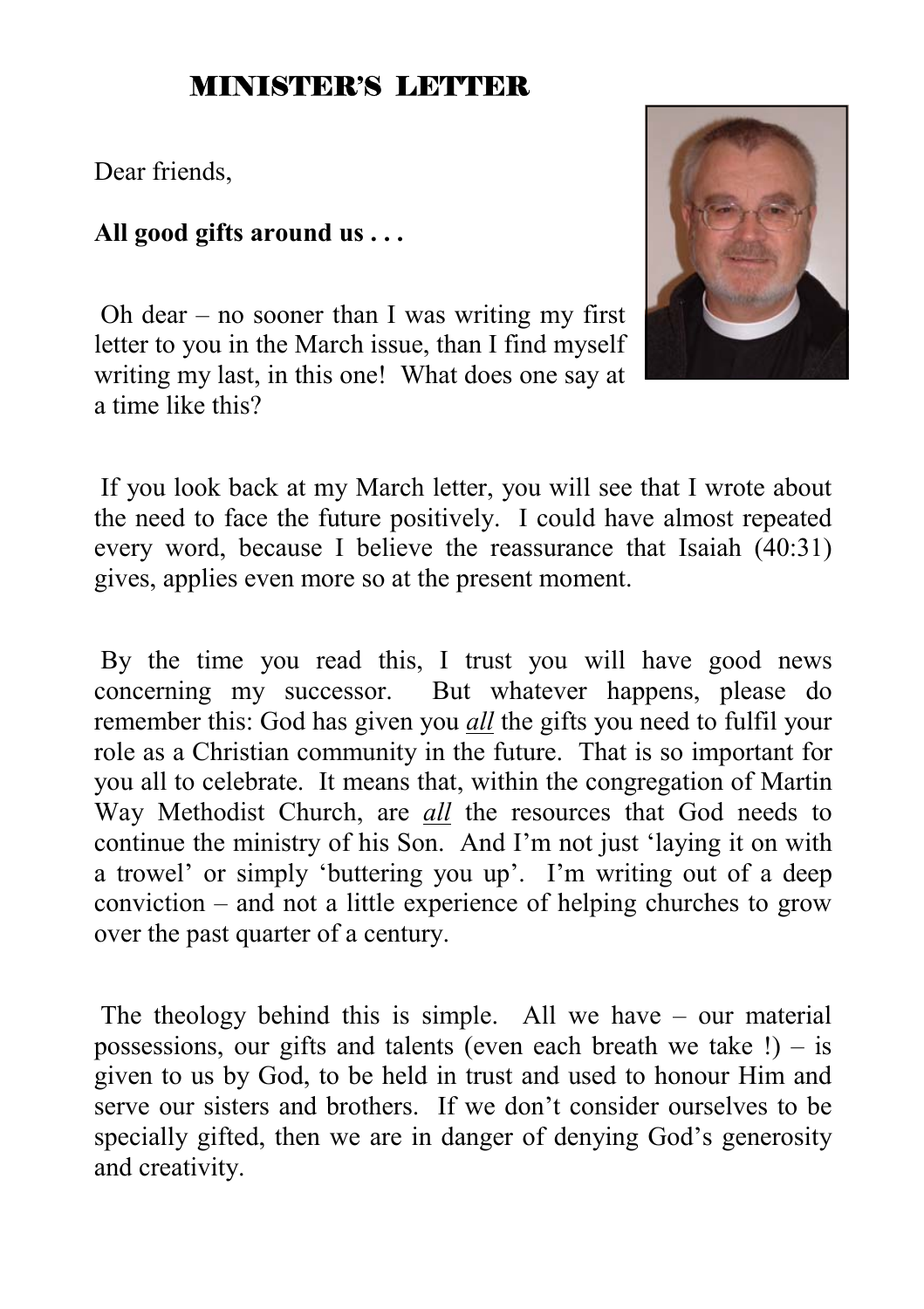#### MINISTER'S LETTER

Dear friends,

#### **All good gifts around us . . .**

 Oh dear – no sooner than I was writing my first letter to you in the March issue, than I find myself writing my last, in this one! What does one say at a time like this?



 If you look back at my March letter, you will see that I wrote about the need to face the future positively. I could have almost repeated every word, because I believe the reassurance that Isaiah (40:31) gives, applies even more so at the present moment.

 By the time you read this, I trust you will have good news concerning my successor. But whatever happens, please do remember this: God has given you *all* the gifts you need to fulfil your role as a Christian community in the future. That is so important for you all to celebrate. It means that, within the congregation of Martin Way Methodist Church, are *all* the resources that God needs to continue the ministry of his Son. And I'm not just 'laying it on with a trowel' or simply 'buttering you up'. I'm writing out of a deep conviction – and not a little experience of helping churches to grow over the past quarter of a century.

 The theology behind this is simple. All we have – our material possessions, our gifts and talents (even each breath we take  $!) - is$ given to us by God, to be held in trust and used to honour Him and serve our sisters and brothers. If we don't consider ourselves to be specially gifted, then we are in danger of denying God's generosity and creativity.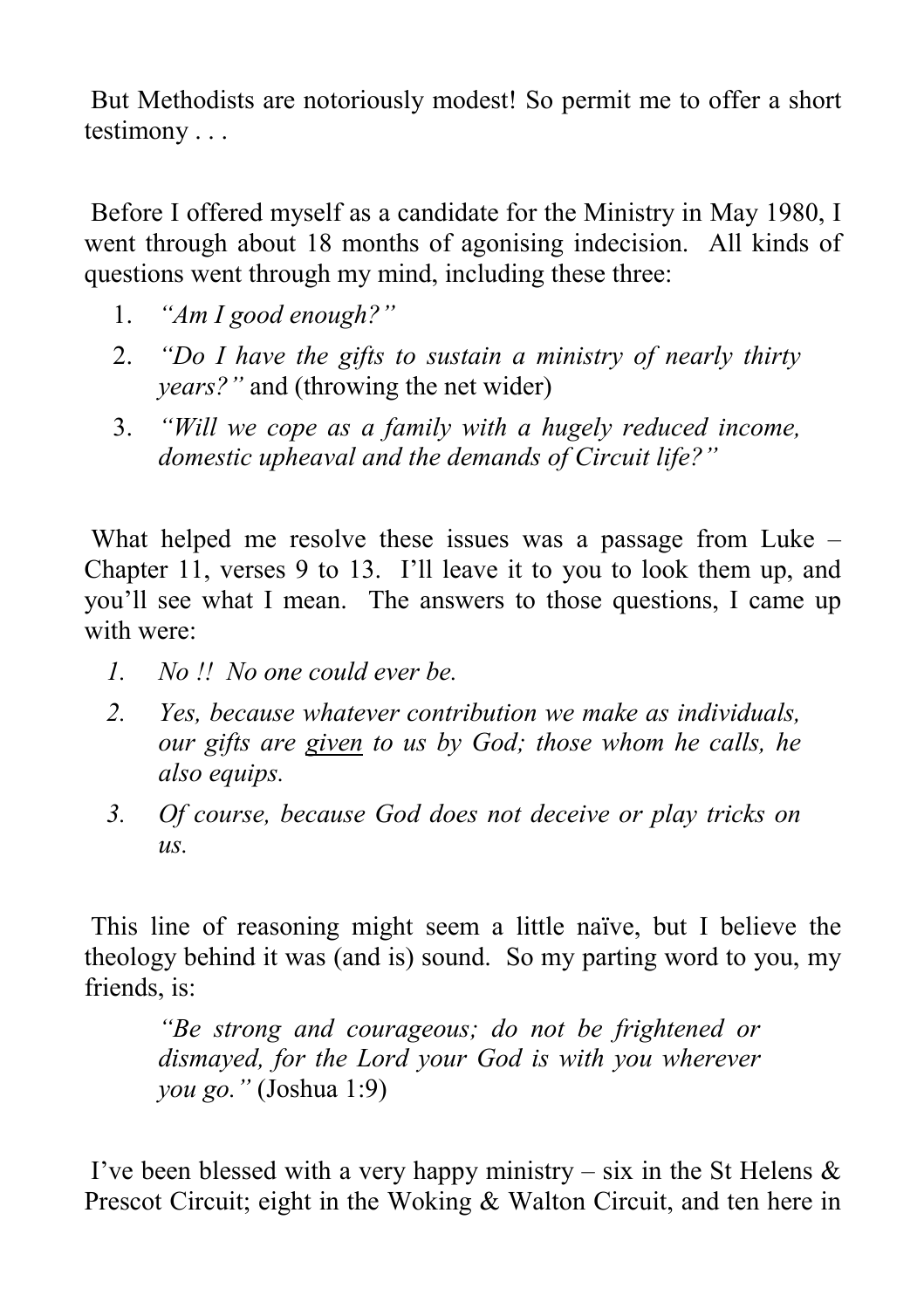But Methodists are notoriously modest! So permit me to offer a short testimony . . .

 Before I offered myself as a candidate for the Ministry in May 1980, I went through about 18 months of agonising indecision. All kinds of questions went through my mind, including these three:

- 1. *"Am I good enough?"*
- 2. *"Do I have the gifts to sustain a ministry of nearly thirty years?"* and (throwing the net wider)
- 3. *"Will we cope as a family with a hugely reduced income, domestic upheaval and the demands of Circuit life?"*

 What helped me resolve these issues was a passage from Luke – Chapter 11, verses 9 to 13. I'll leave it to you to look them up, and you'll see what I mean. The answers to those questions, I came up with were:

- *1. No !! No one could ever be.*
- *2. Yes, because whatever contribution we make as individuals, our gifts are given to us by God; those whom he calls, he also equips.*
- *3. Of course, because God does not deceive or play tricks on*   $\overline{u}$ s.

 This line of reasoning might seem a little naïve, but I believe the theology behind it was (and is) sound. So my parting word to you, my friends, is:

*"Be strong and courageous; do not be frightened or dismayed, for the Lord your God is with you wherever you go."* (Joshua 1:9)

I've been blessed with a very happy ministry – six in the St Helens  $\&$ Prescot Circuit; eight in the Woking & Walton Circuit, and ten here in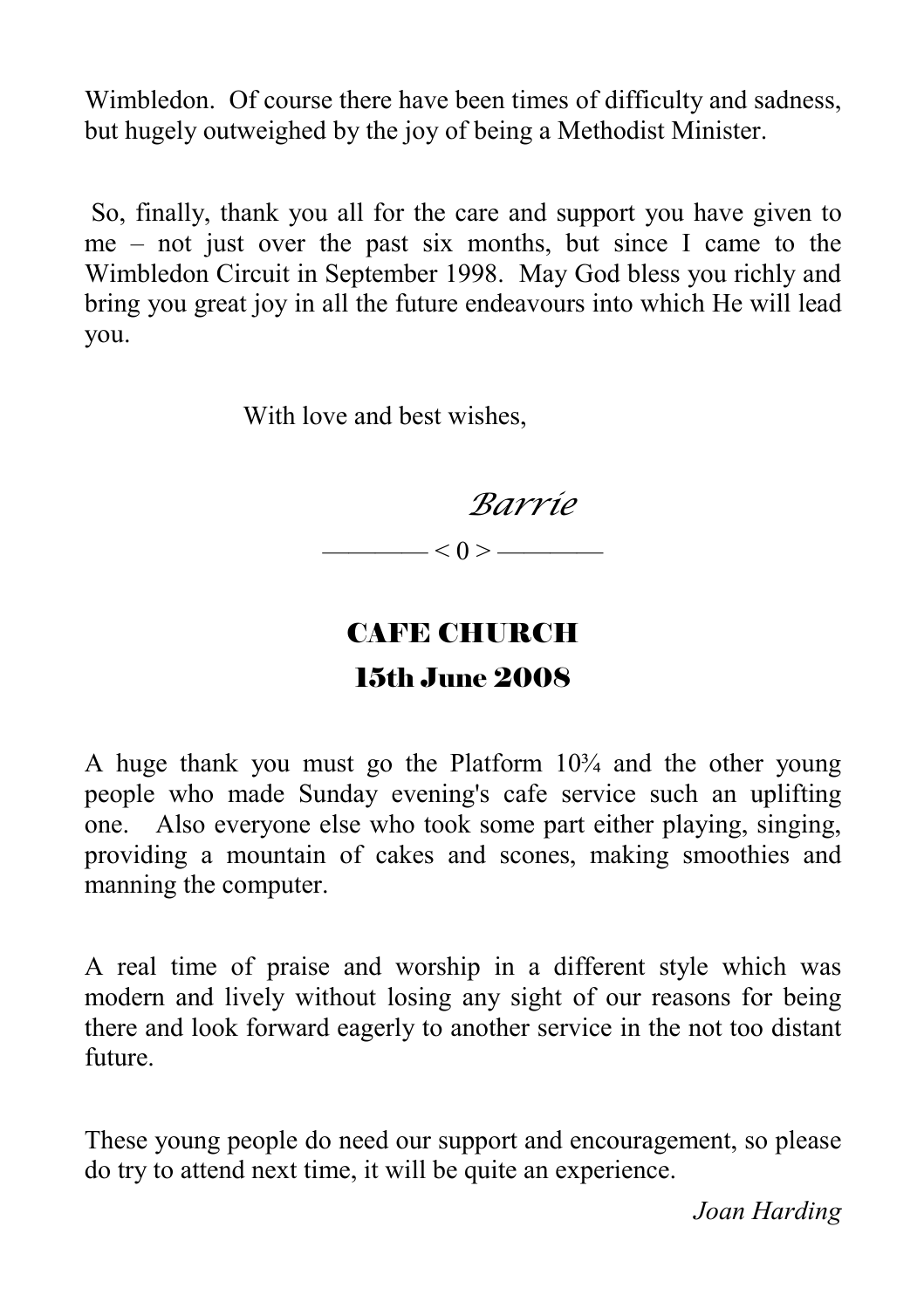Wimbledon. Of course there have been times of difficulty and sadness, but hugely outweighed by the joy of being a Methodist Minister.

 So, finally, thank you all for the care and support you have given to me – not just over the past six months, but since I came to the Wimbledon Circuit in September 1998. May God bless you richly and bring you great joy in all the future endeavours into which He will lead you.

With love and best wishes,

*Barrie* 

 $< 0 > \underline{\hspace{2cm}}$ 

### CAFE CHURCH 15th June 2008

#### A huge thank you must go the Platform  $10<sup>3</sup>/<sub>4</sub>$  and the other young people who made Sunday evening's cafe service such an uplifting one. Also everyone else who took some part either playing, singing, providing a mountain of cakes and scones, making smoothies and manning the computer.

A real time of praise and worship in a different style which was modern and lively without losing any sight of our reasons for being there and look forward eagerly to another service in the not too distant future.

These young people do need our support and encouragement, so please do try to attend next time, it will be quite an experience.

 *Joan Harding*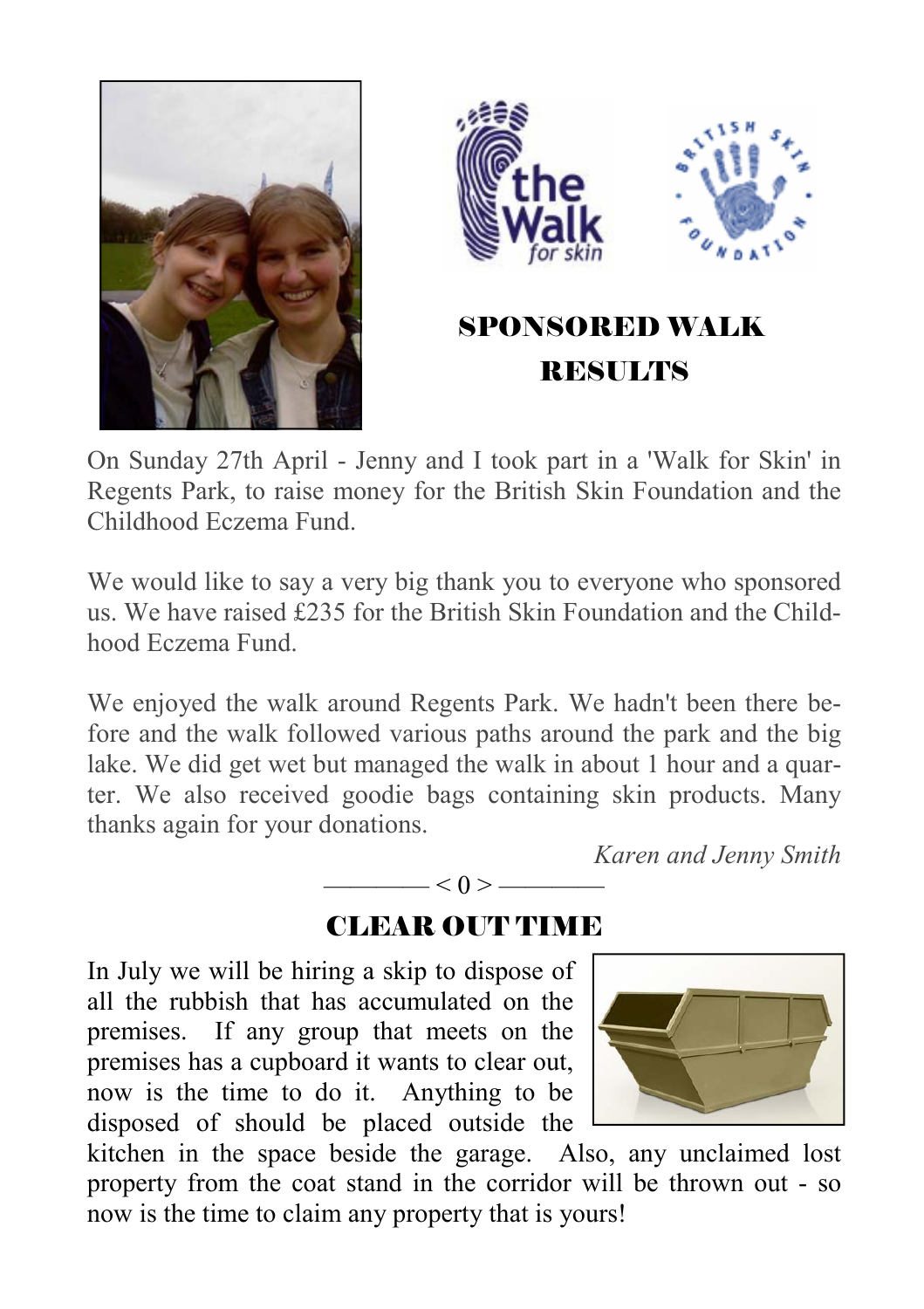



On Sunday 27th April - Jenny and I took part in a 'Walk for Skin' in Regents Park, to raise money for the British Skin Foundation and the Childhood Eczema Fund.

We would like to say a very big thank you to everyone who sponsored us. We have raised £235 for the British Skin Foundation and the Childhood Eczema Fund.

We enjoyed the walk around Regents Park. We hadn't been there before and the walk followed various paths around the park and the big lake. We did get wet but managed the walk in about 1 hour and a quarter. We also received goodie bags containing skin products. Many thanks again for your donations.

*Karen and Jenny Smith* 

#### CLEAR OUT TIME

 $-< 0 > -$ 

In July we will be hiring a skip to dispose of all the rubbish that has accumulated on the premises. If any group that meets on the premises has a cupboard it wants to clear out, now is the time to do it. Anything to be disposed of should be placed outside the



kitchen in the space beside the garage. Also, any unclaimed lost property from the coat stand in the corridor will be thrown out - so now is the time to claim any property that is yours!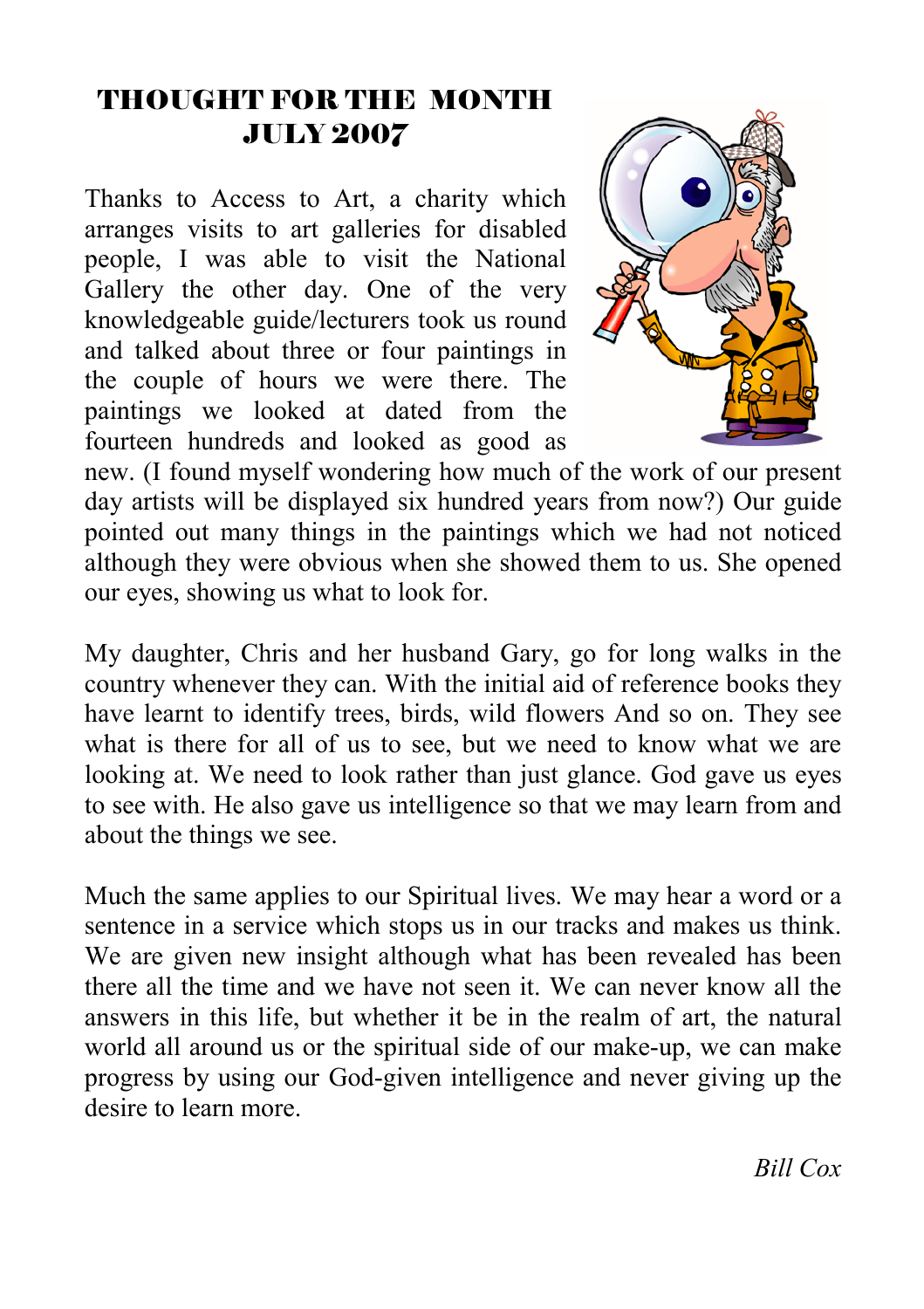### THOUGHT FOR THE MONTH JULY 2007

Thanks to Access to Art, a charity which arranges visits to art galleries for disabled people, I was able to visit the National Gallery the other day. One of the very knowledgeable guide/lecturers took us round and talked about three or four paintings in the couple of hours we were there. The paintings we looked at dated from the fourteen hundreds and looked as good as



new. (I found myself wondering how much of the work of our present day artists will be displayed six hundred years from now?) Our guide pointed out many things in the paintings which we had not noticed although they were obvious when she showed them to us. She opened our eyes, showing us what to look for.

My daughter, Chris and her husband Gary, go for long walks in the country whenever they can. With the initial aid of reference books they have learnt to identify trees, birds, wild flowers And so on. They see what is there for all of us to see, but we need to know what we are looking at. We need to look rather than just glance. God gave us eyes to see with. He also gave us intelligence so that we may learn from and about the things we see.

Much the same applies to our Spiritual lives. We may hear a word or a sentence in a service which stops us in our tracks and makes us think. We are given new insight although what has been revealed has been there all the time and we have not seen it. We can never know all the answers in this life, but whether it be in the realm of art, the natural world all around us or the spiritual side of our make-up, we can make progress by using our God-given intelligence and never giving up the desire to learn more.

*Bill Cox*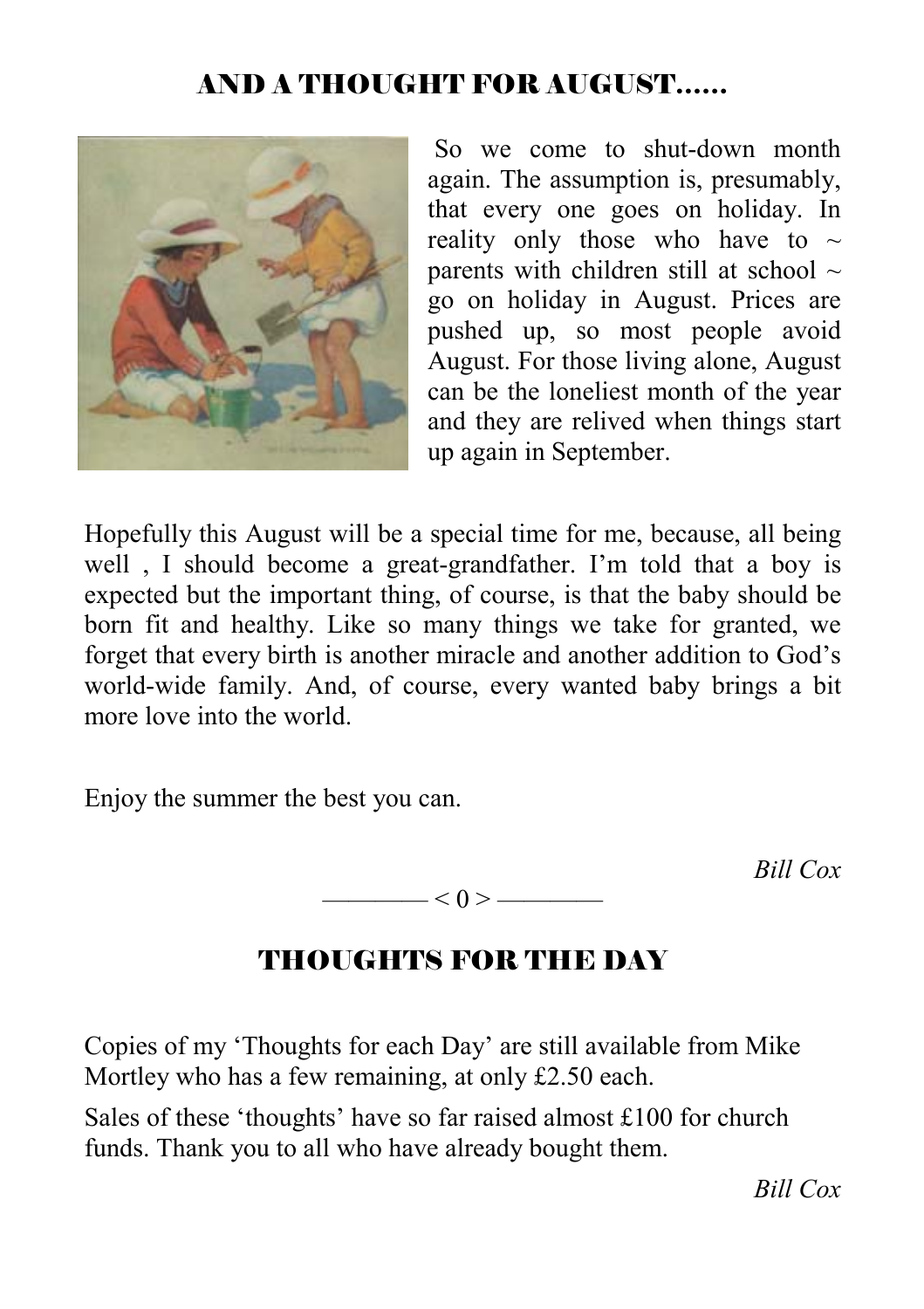#### AND A THOUGHT FOR AUGUST……



 So we come to shut-down month again. The assumption is, presumably, that every one goes on holiday. In reality only those who have to  $\sim$ parents with children still at school  $\sim$ go on holiday in August. Prices are pushed up, so most people avoid August. For those living alone, August can be the loneliest month of the year and they are relived when things start up again in September.

Hopefully this August will be a special time for me, because, all being well , I should become a great-grandfather. I'm told that a boy is expected but the important thing, of course, is that the baby should be born fit and healthy. Like so many things we take for granted, we forget that every birth is another miracle and another addition to God's world-wide family. And, of course, every wanted baby brings a bit more love into the world.

Enjoy the summer the best you can.

*Bill Cox* 

#### —— $< 0 >$ ——

#### THOUGHTS FOR THE DAY

Copies of my 'Thoughts for each Day' are still available from Mike Mortley who has a few remaining, at only £2.50 each.

Sales of these 'thoughts' have so far raised almost £100 for church funds. Thank you to all who have already bought them.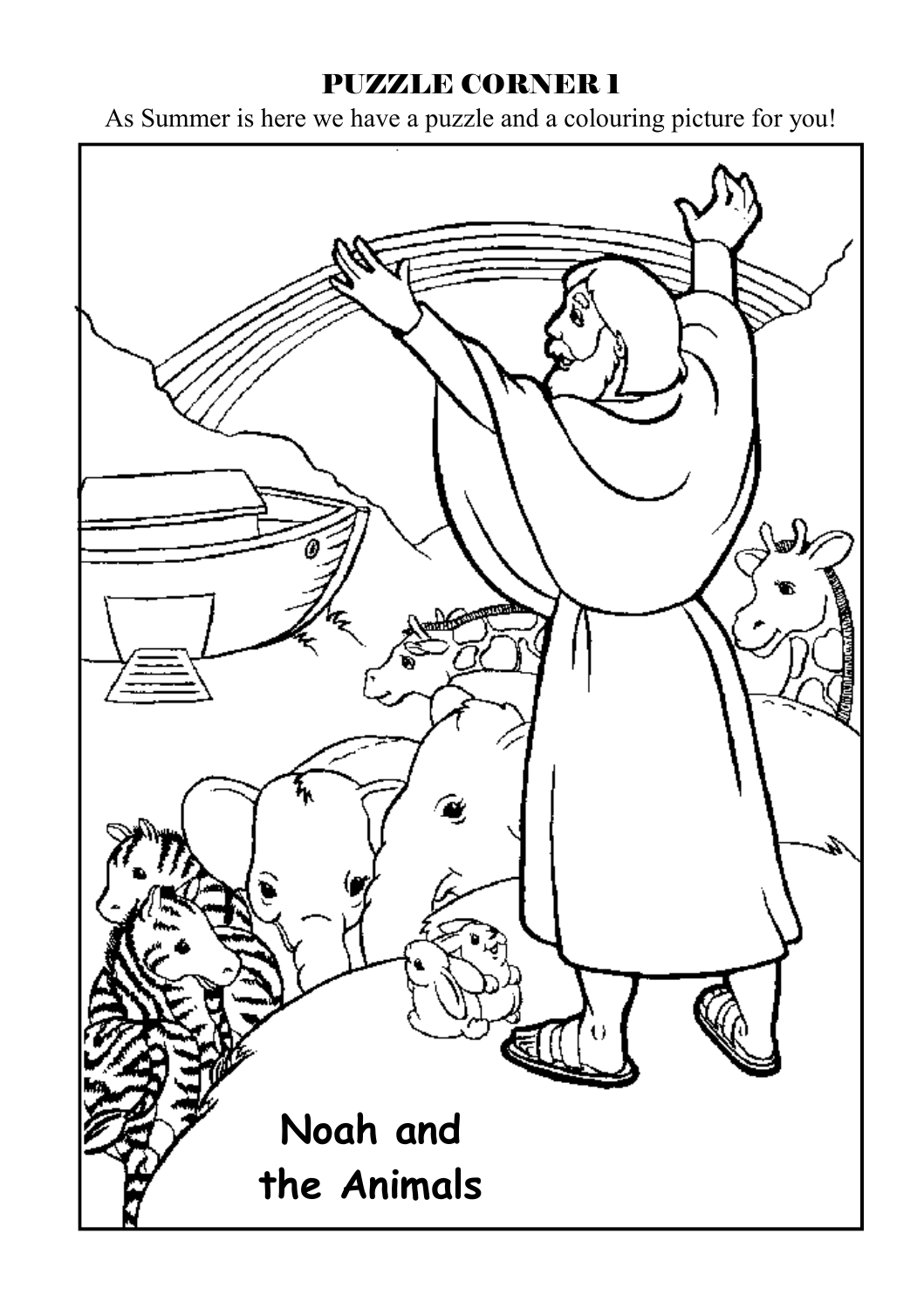#### PUZZLE CORNER 1

As Summer is here we have a puzzle and a colouring picture for you!

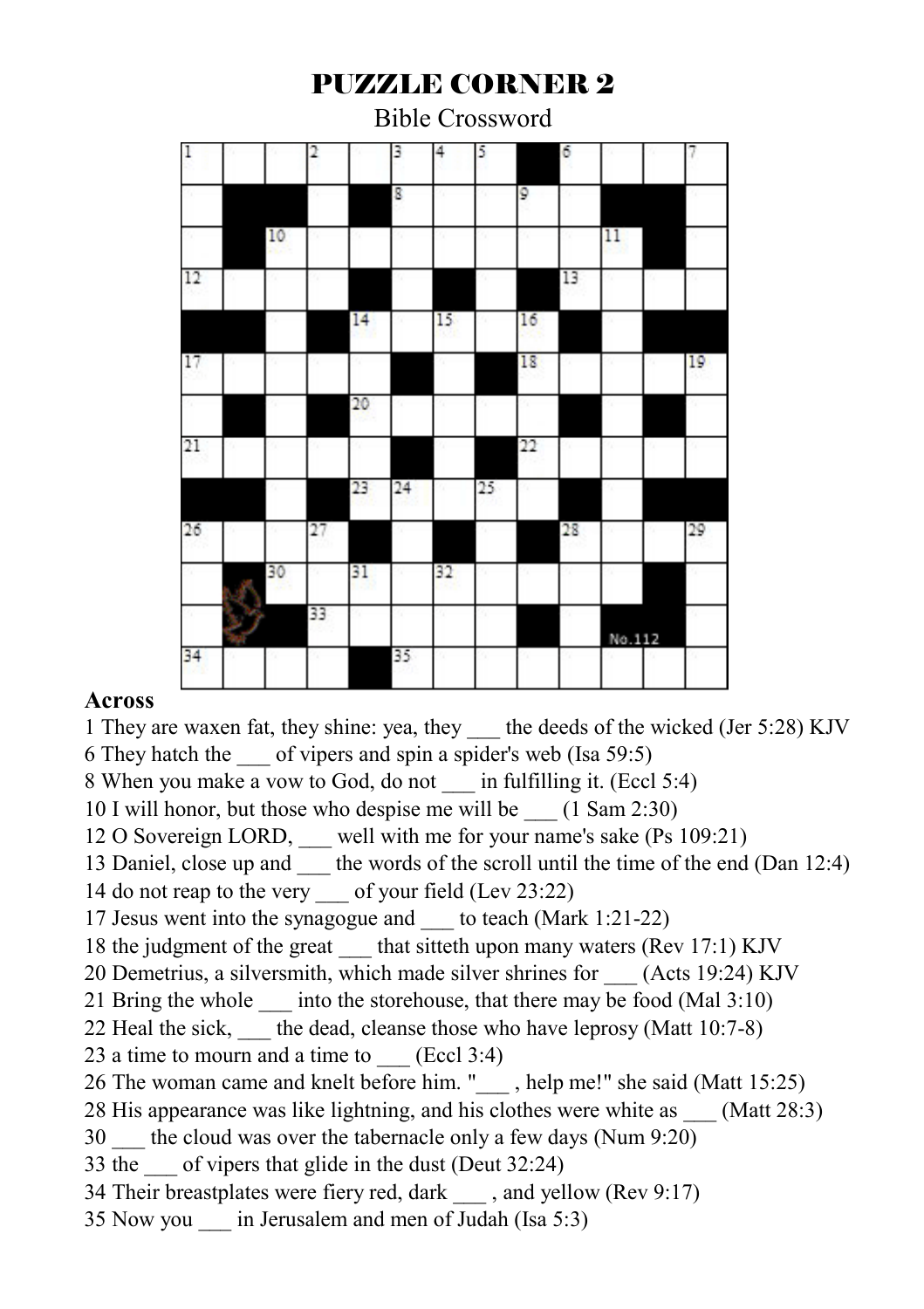#### PUZZLE CORNER 2

Bible Crossword

|    |    | 2  |    | 3  | 4  | 5  |    | 6  |         |    |
|----|----|----|----|----|----|----|----|----|---------|----|
|    |    |    |    | g  |    |    | 9  |    |         |    |
|    | 10 |    |    |    |    |    |    |    | $^{11}$ |    |
| 12 |    |    |    |    |    |    |    | 13 |         |    |
|    |    |    | 14 |    | 15 |    | 16 |    |         |    |
| 17 |    |    |    |    |    |    | 18 |    |         | 19 |
|    |    |    | 20 |    |    |    |    |    |         |    |
| 21 |    |    |    |    |    |    | 22 |    |         |    |
|    |    |    | 23 | 24 |    | 25 |    |    |         |    |
| 26 |    | 27 |    |    |    |    |    | 28 |         | 29 |
|    | 30 |    | 31 |    | 32 |    |    |    |         |    |
|    |    | 33 |    |    |    |    |    |    | No.112  |    |
| 34 |    |    |    | 35 |    |    |    |    |         |    |

#### **Across**

1 They are waxen fat, they shine: yea, they \_\_\_ the deeds of the wicked (Jer 5:28) KJV 6 They hatch the \_\_\_ of vipers and spin a spider's web (Isa 59:5)

8 When you make a vow to God, do not \_\_\_ in fulfilling it. (Eccl 5:4)

10 I will honor, but those who despise me will be  $(1 \text{ Sam } 2:30)$ 

12 O Sovereign LORD, \_\_\_ well with me for your name's sake (Ps 109:21)

13 Daniel, close up and the words of the scroll until the time of the end (Dan 12:4)

14 do not reap to the very \_\_\_ of your field (Lev 23:22)

17 Jesus went into the synagogue and to teach (Mark 1:21-22)

18 the judgment of the great that sitteth upon many waters (Rev 17:1) KJV

20 Demetrius, a silversmith, which made silver shrines for (Acts 19:24) KJV

21 Bring the whole \_\_\_\_ into the storehouse, that there may be food (Mal 3:10)

22 Heal the sick, the dead, cleanse those who have leprosy (Matt 10:7-8)

23 a time to mourn and a time to  $(Eccl 3:4)$ 

26 The woman came and knelt before him. "\_\_\_ , help me!" she said (Matt 15:25)

28 His appearance was like lightning, and his clothes were white as  $(Matt 28:3)$ 

30 the cloud was over the tabernacle only a few days (Num 9:20)

33 the of vipers that glide in the dust (Deut 32:24)

34 Their breastplates were fiery red, dark \_\_\_ , and yellow (Rev 9:17)

35 Now you in Jerusalem and men of Judah (Isa 5:3)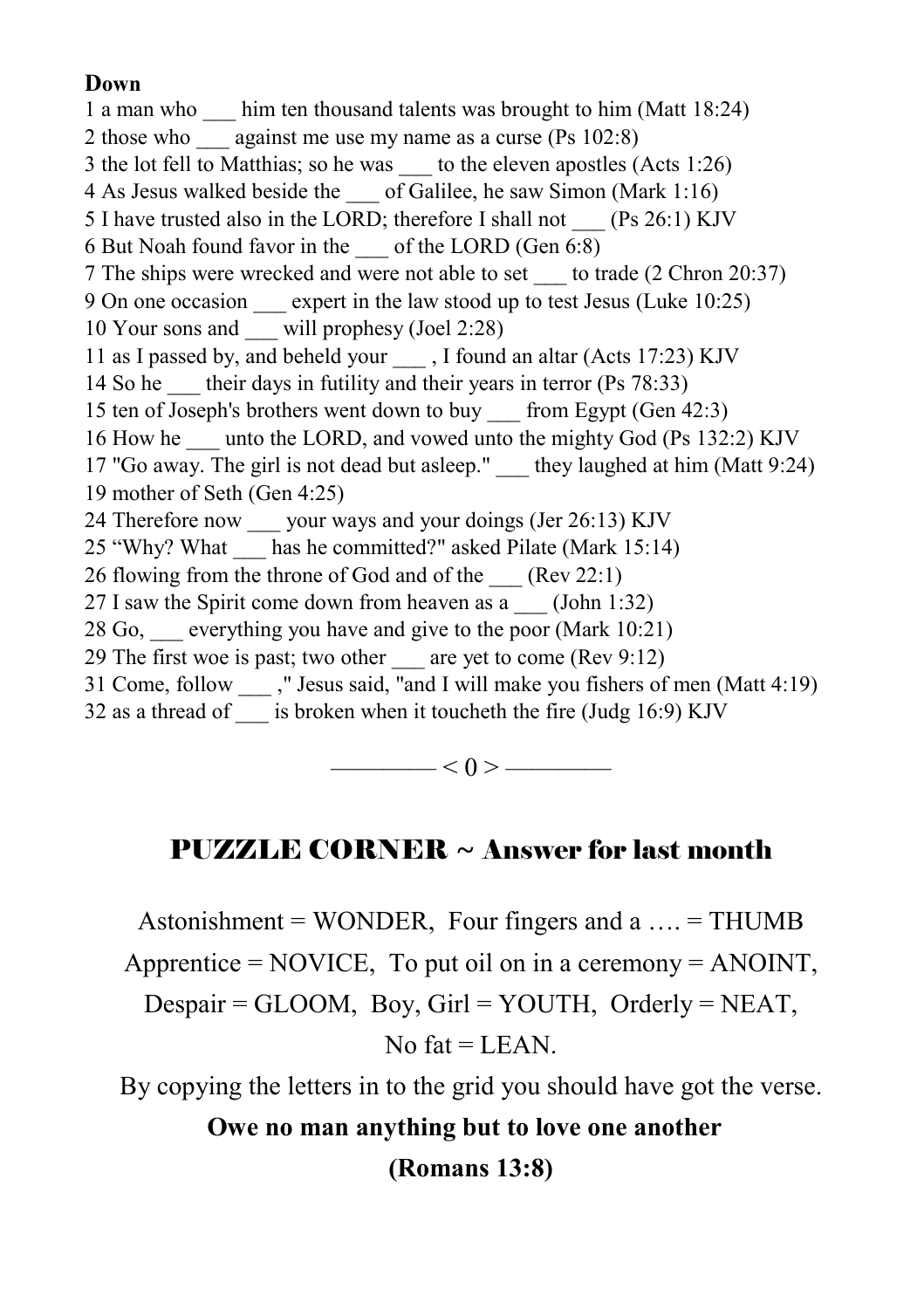#### **Down**

1 a man who \_\_\_ him ten thousand talents was brought to him (Matt 18:24) 2 those who against me use my name as a curse (Ps 102:8) 3 the lot fell to Matthias; so he was to the eleven apostles (Acts 1:26) 4 As Jesus walked beside the \_\_\_ of Galilee, he saw Simon (Mark 1:16) 5 I have trusted also in the LORD; therefore I shall not (Ps 26:1) KJV 6 But Noah found favor in the \_\_\_ of the LORD (Gen 6:8) 7 The ships were wrecked and were not able to set \_\_\_ to trade (2 Chron 20:37) 9 On one occasion expert in the law stood up to test Jesus (Luke 10:25) 10 Your sons and \_\_\_ will prophesy (Joel 2:28) 11 as I passed by, and beheld your , I found an altar (Acts 17:23) KJV 14 So he their days in futility and their years in terror (Ps 78:33) 15 ten of Joseph's brothers went down to buy \_\_\_ from Egypt (Gen 42:3) 16 How he unto the LORD, and vowed unto the mighty God (Ps 132:2) KJV 17 "Go away. The girl is not dead but asleep." they laughed at him (Matt 9:24) 19 mother of Seth (Gen 4:25) 24 Therefore now your ways and your doings (Jer 26:13) KJV 25 "Why? What has he committed?" asked Pilate (Mark 15:14) 26 flowing from the throne of God and of the \_\_\_ (Rev 22:1) 27 I saw the Spirit come down from heaven as a  $(John 1:32)$ 28 Go, \_\_\_ everything you have and give to the poor (Mark 10:21) 29 The first woe is past; two other  $\qquad$  are yet to come (Rev 9:12) 31 Come, follow \_\_\_ ," Jesus said, "and I will make you fishers of men (Matt 4:19) 32 as a thread of \_\_\_ is broken when it toucheth the fire (Judg  $16:9$ ) KJV

 $\longrightarrow$   $<$  0 >  $\longrightarrow$ 

#### PUZZLE CORNER ~ Answer for last month

Astonishment = WONDER, Four fingers and  $a \dots$  = THUMB

Apprentice =  $NOVICE$ , To put oil on in a ceremony =  $ANOINT$ ,

Despair = GLOOM, Boy, Girl = YOUTH, Orderly = NEAT,

No fat  $=$  LEAN.

By copying the letters in to the grid you should have got the verse.

**Owe no man anything but to love one another** 

**(Romans 13:8)**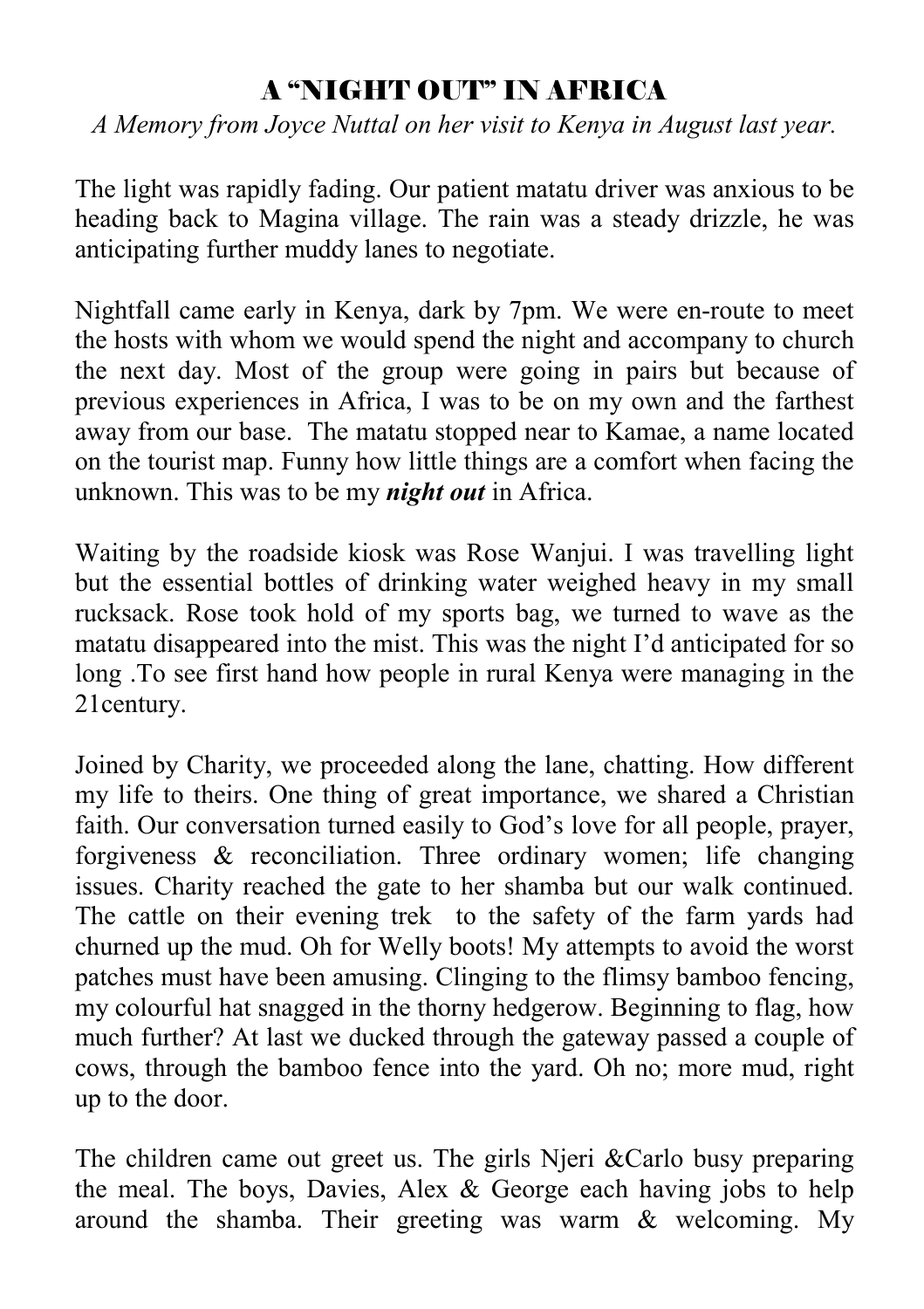### A "NIGHT OUT" IN AFRICA

*A Memory from Joyce Nuttal on her visit to Kenya in August last year.*

The light was rapidly fading. Our patient matatu driver was anxious to be heading back to Magina village. The rain was a steady drizzle, he was anticipating further muddy lanes to negotiate.

Nightfall came early in Kenya, dark by 7pm. We were en-route to meet the hosts with whom we would spend the night and accompany to church the next day. Most of the group were going in pairs but because of previous experiences in Africa, I was to be on my own and the farthest away from our base. The matatu stopped near to Kamae, a name located on the tourist map. Funny how little things are a comfort when facing the unknown. This was to be my *night out* in Africa.

Waiting by the roadside kiosk was Rose Wanjui. I was travelling light but the essential bottles of drinking water weighed heavy in my small rucksack. Rose took hold of my sports bag, we turned to wave as the matatu disappeared into the mist. This was the night I'd anticipated for so long .To see first hand how people in rural Kenya were managing in the 21century.

Joined by Charity, we proceeded along the lane, chatting. How different my life to theirs. One thing of great importance, we shared a Christian faith. Our conversation turned easily to God's love for all people, prayer, forgiveness & reconciliation. Three ordinary women; life changing issues. Charity reached the gate to her shamba but our walk continued. The cattle on their evening trek to the safety of the farm yards had churned up the mud. Oh for Welly boots! My attempts to avoid the worst patches must have been amusing. Clinging to the flimsy bamboo fencing, my colourful hat snagged in the thorny hedgerow. Beginning to flag, how much further? At last we ducked through the gateway passed a couple of cows, through the bamboo fence into the yard. Oh no; more mud, right up to the door.

The children came out greet us. The girls Njeri &Carlo busy preparing the meal. The boys, Davies, Alex & George each having jobs to help around the shamba. Their greeting was warm & welcoming. My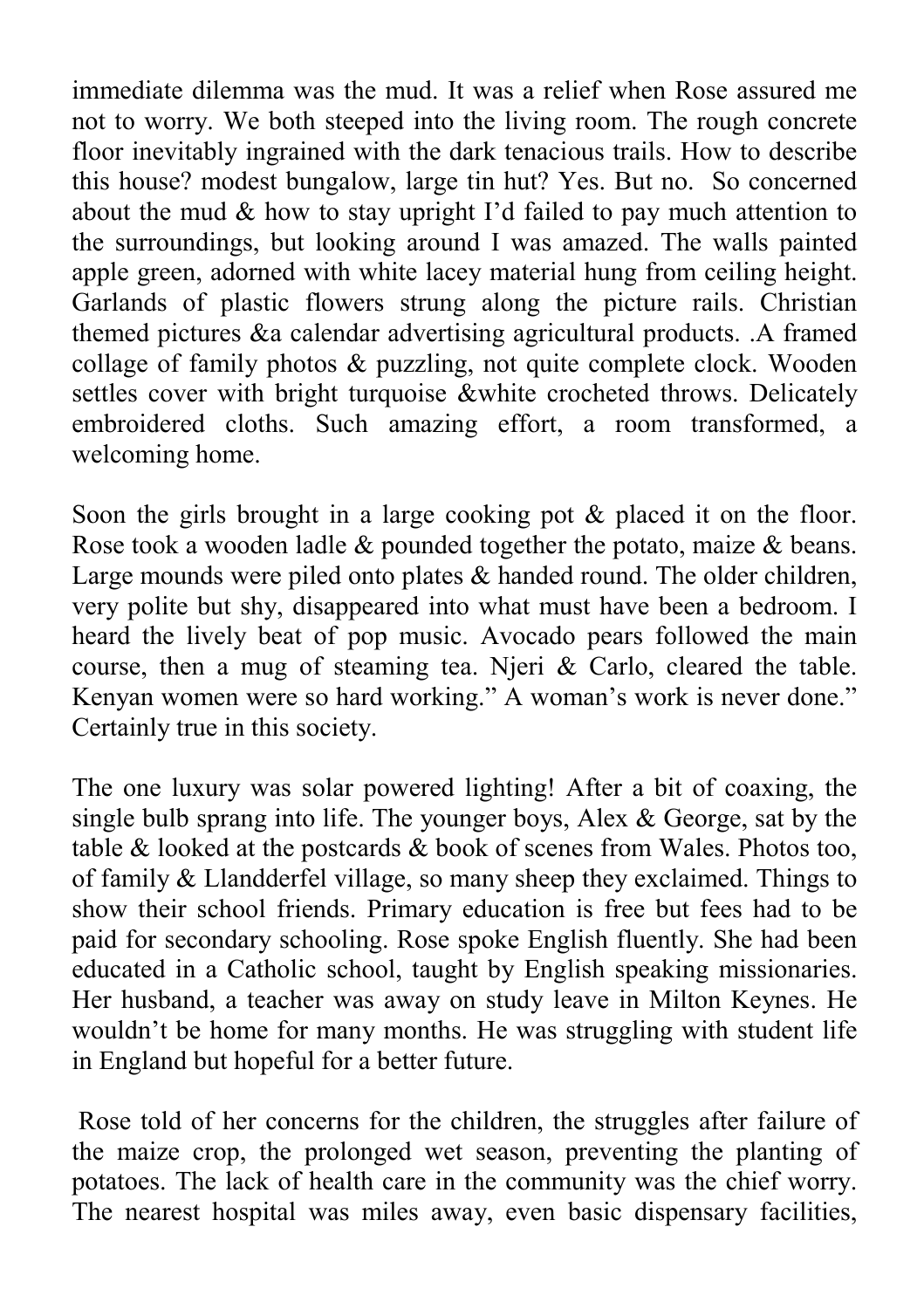immediate dilemma was the mud. It was a relief when Rose assured me not to worry. We both steeped into the living room. The rough concrete floor inevitably ingrained with the dark tenacious trails. How to describe this house? modest bungalow, large tin hut? Yes. But no. So concerned about the mud  $\&$  how to stay upright I'd failed to pay much attention to the surroundings, but looking around I was amazed. The walls painted apple green, adorned with white lacey material hung from ceiling height. Garlands of plastic flowers strung along the picture rails. Christian themed pictures &a calendar advertising agricultural products. .A framed collage of family photos & puzzling, not quite complete clock. Wooden settles cover with bright turquoise &white crocheted throws. Delicately embroidered cloths. Such amazing effort, a room transformed, a welcoming home.

Soon the girls brought in a large cooking pot & placed it on the floor. Rose took a wooden ladle & pounded together the potato, maize & beans. Large mounds were piled onto plates & handed round. The older children, very polite but shy, disappeared into what must have been a bedroom. I heard the lively beat of pop music. Avocado pears followed the main course, then a mug of steaming tea. Njeri & Carlo, cleared the table. Kenyan women were so hard working." A woman's work is never done." Certainly true in this society.

The one luxury was solar powered lighting! After a bit of coaxing, the single bulb sprang into life. The younger boys, Alex & George, sat by the table & looked at the postcards & book of scenes from Wales. Photos too, of family & Llandderfel village, so many sheep they exclaimed. Things to show their school friends. Primary education is free but fees had to be paid for secondary schooling. Rose spoke English fluently. She had been educated in a Catholic school, taught by English speaking missionaries. Her husband, a teacher was away on study leave in Milton Keynes. He wouldn't be home for many months. He was struggling with student life in England but hopeful for a better future.

 Rose told of her concerns for the children, the struggles after failure of the maize crop, the prolonged wet season, preventing the planting of potatoes. The lack of health care in the community was the chief worry. The nearest hospital was miles away, even basic dispensary facilities,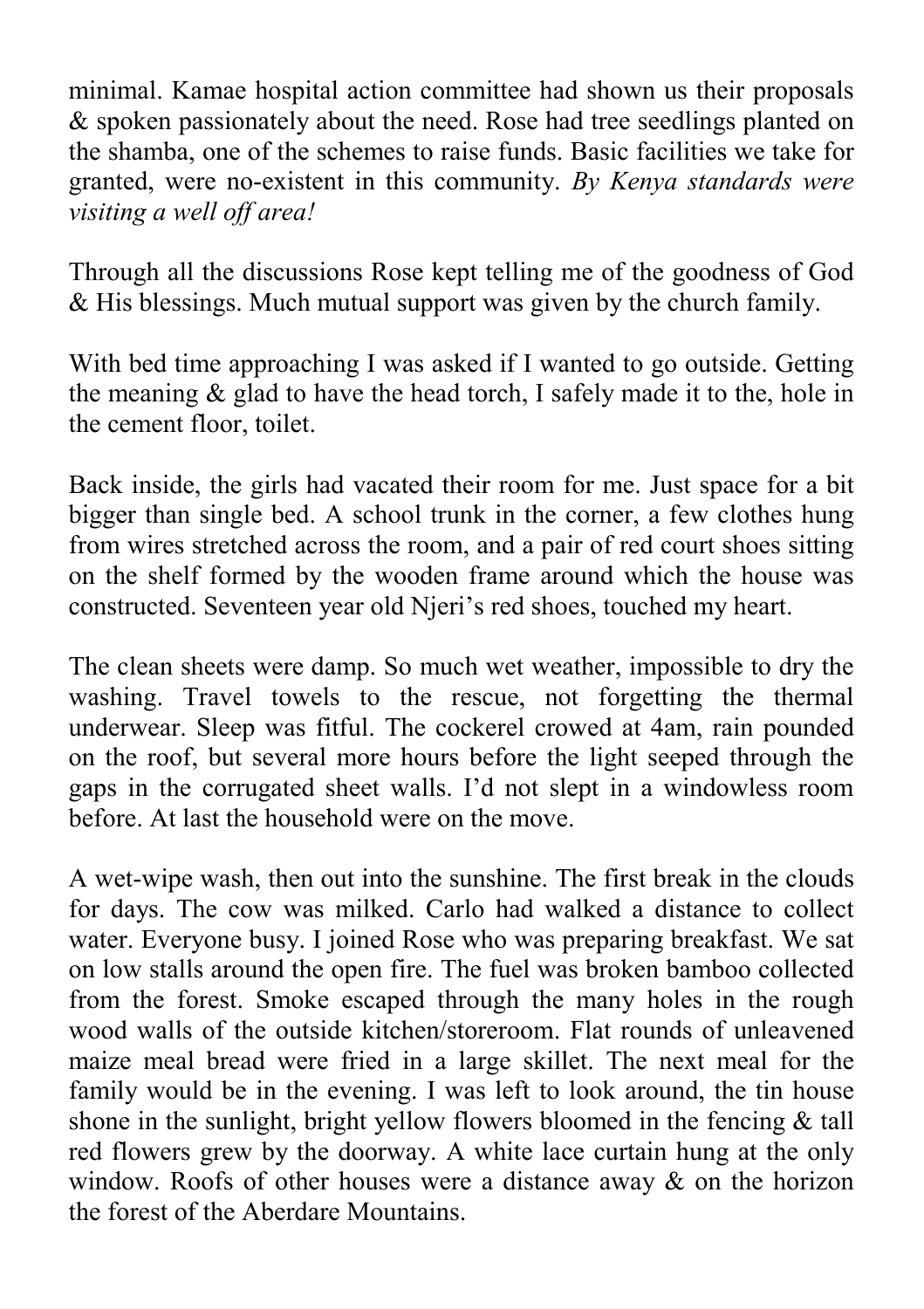minimal. Kamae hospital action committee had shown us their proposals & spoken passionately about the need. Rose had tree seedlings planted on the shamba, one of the schemes to raise funds. Basic facilities we take for granted, were no-existent in this community. *By Kenya standards were visiting a well off area!* 

Through all the discussions Rose kept telling me of the goodness of God & His blessings. Much mutual support was given by the church family.

With bed time approaching I was asked if I wanted to go outside. Getting the meaning & glad to have the head torch, I safely made it to the, hole in the cement floor, toilet.

Back inside, the girls had vacated their room for me. Just space for a bit bigger than single bed. A school trunk in the corner, a few clothes hung from wires stretched across the room, and a pair of red court shoes sitting on the shelf formed by the wooden frame around which the house was constructed. Seventeen year old Njeri's red shoes, touched my heart.

The clean sheets were damp. So much wet weather, impossible to dry the washing. Travel towels to the rescue, not forgetting the thermal underwear. Sleep was fitful. The cockerel crowed at 4am, rain pounded on the roof, but several more hours before the light seeped through the gaps in the corrugated sheet walls. I'd not slept in a windowless room before. At last the household were on the move.

A wet-wipe wash, then out into the sunshine. The first break in the clouds for days. The cow was milked. Carlo had walked a distance to collect water. Everyone busy. I joined Rose who was preparing breakfast. We sat on low stalls around the open fire. The fuel was broken bamboo collected from the forest. Smoke escaped through the many holes in the rough wood walls of the outside kitchen/storeroom. Flat rounds of unleavened maize meal bread were fried in a large skillet. The next meal for the family would be in the evening. I was left to look around, the tin house shone in the sunlight, bright yellow flowers bloomed in the fencing & tall red flowers grew by the doorway. A white lace curtain hung at the only window. Roofs of other houses were a distance away  $\&$  on the horizon the forest of the Aberdare Mountains.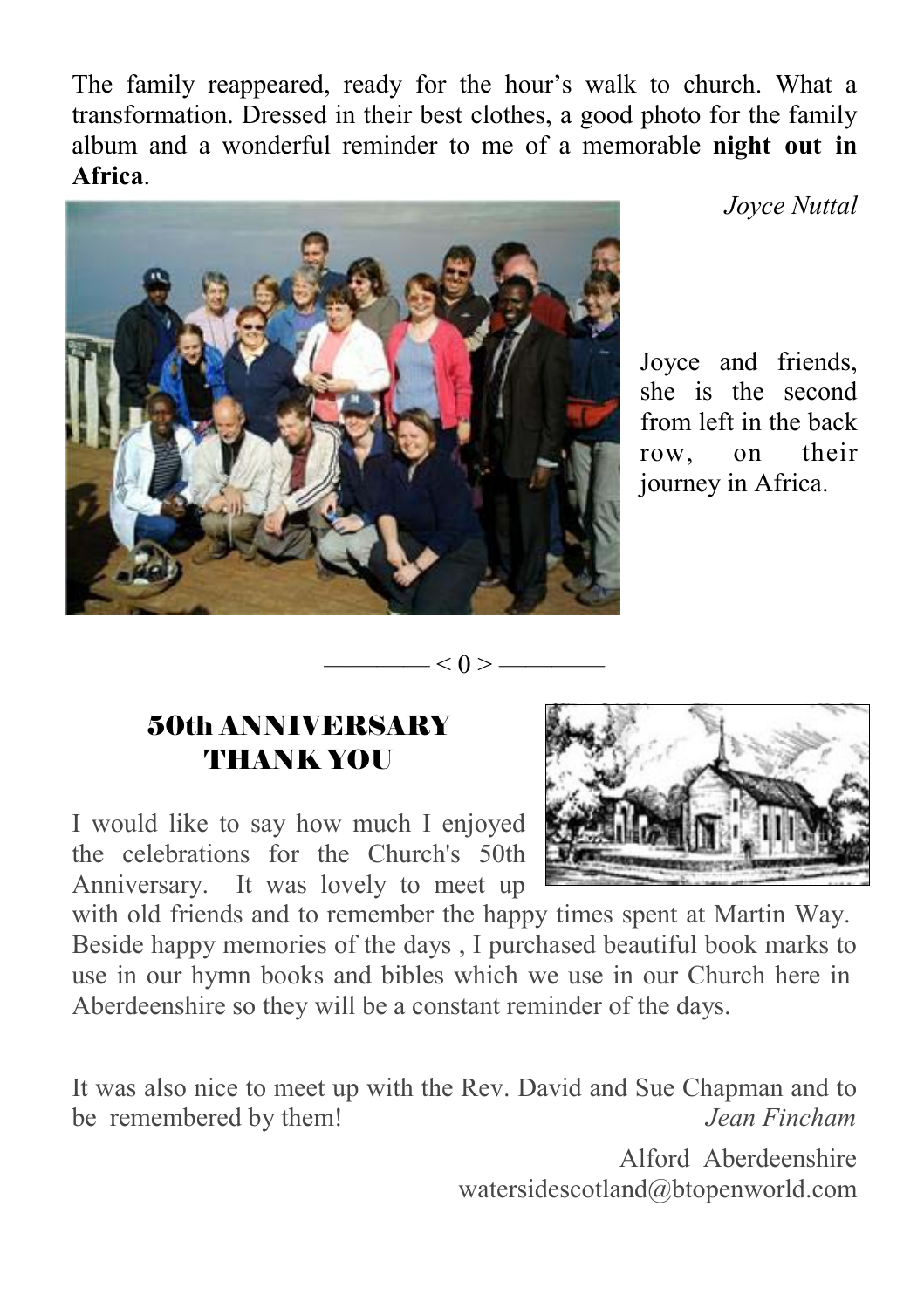The family reappeared, ready for the hour's walk to church. What a transformation. Dressed in their best clothes, a good photo for the family album and a wonderful reminder to me of a memorable **night out in Africa**.



*Joyce Nuttal* 

Joyce and friends, she is the second from left in the back row, on their journey in Africa.

#### 50th ANNIVERSARY **THANK YOU**

I would like to say how much I enjoyed the celebrations for the Church's 50th Anniversary. It was lovely to meet up



with old friends and to remember the happy times spent at Martin Way. Beside happy memories of the days , I purchased beautiful book marks to use in our hymn books and bibles which we use in our Church here in Aberdeenshire so they will be a constant reminder of the days.

 $-< 0 >$ 

It was also nice to meet up with the Rev. David and Sue Chapman and to be remembered by them! *Jean Fincham*

> Alford Aberdeenshire watersidescotland@btopenworld.com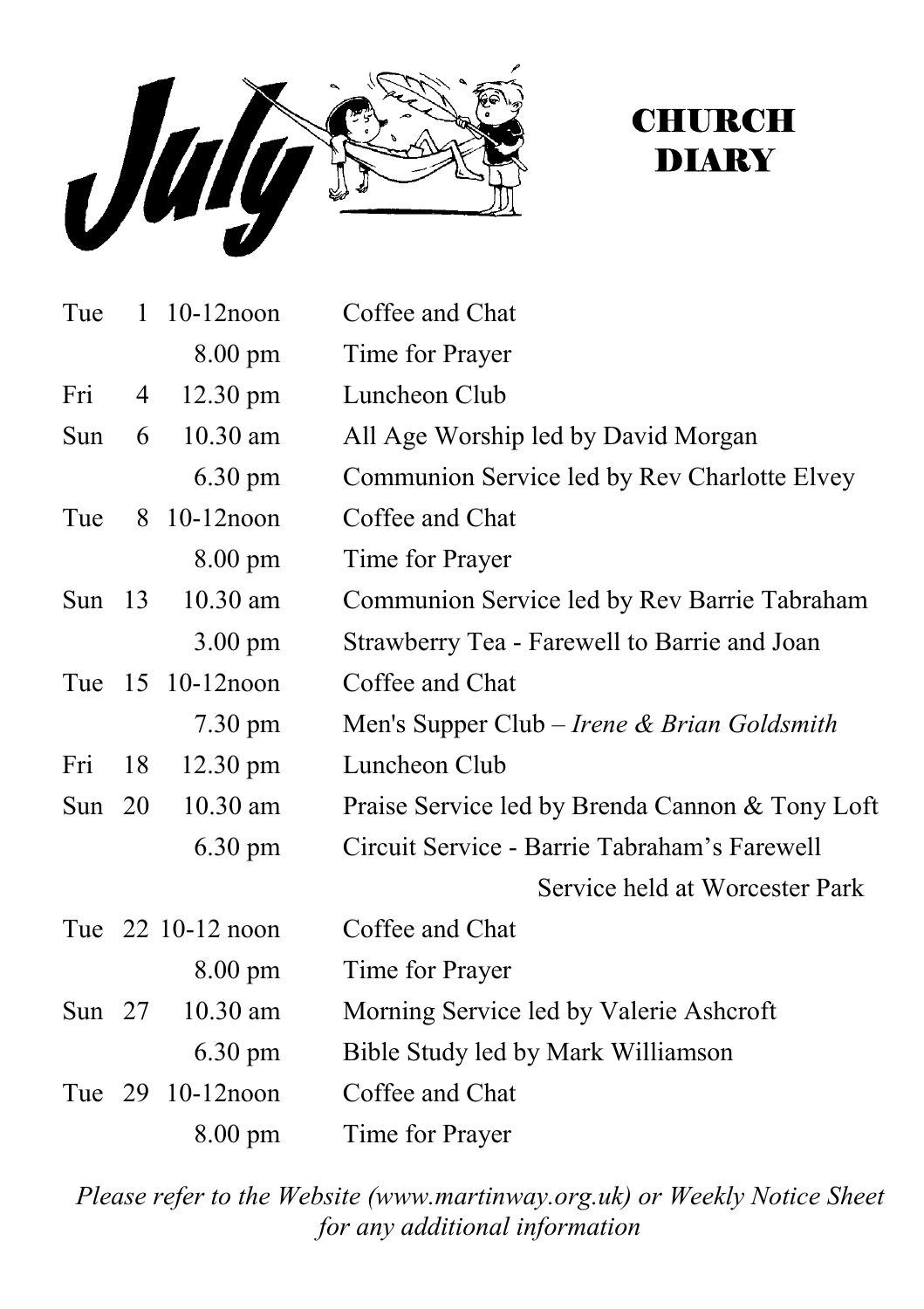

# **CHURCH DIARY**

| Tue      |    | 1 10-12noon        | Coffee and Chat                                 |
|----------|----|--------------------|-------------------------------------------------|
|          |    | 8.00 pm            | Time for Prayer                                 |
| Fri      | 4  | $12.30 \text{ pm}$ | Luncheon Club                                   |
| Sun      | 6  | $10.30$ am         | All Age Worship led by David Morgan             |
|          |    | $6.30 \text{ pm}$  | Communion Service led by Rev Charlotte Elvey    |
| Tue      |    | 8 10-12 noon       | Coffee and Chat                                 |
|          |    | $8.00 \text{ pm}$  | Time for Prayer                                 |
| Sun $13$ |    | 10.30 am           | Communion Service led by Rev Barrie Tabraham    |
|          |    | $3.00 \text{ pm}$  | Strawberry Tea - Farewell to Barrie and Joan    |
|          |    | Tue 15 10-12 noon  | Coffee and Chat                                 |
|          |    | 7.30 pm            | Men's Supper Club – Irene & Brian Goldsmith     |
| Fri      | 18 | $12.30 \text{ pm}$ | Luncheon Club                                   |
| Sun $20$ |    | 10.30 am           | Praise Service led by Brenda Cannon & Tony Loft |
|          |    | $6.30 \text{ pm}$  | Circuit Service - Barrie Tabraham's Farewell    |
|          |    |                    | Service held at Worcester Park                  |
|          |    | Tue 22 10-12 noon  | Coffee and Chat                                 |
|          |    | $8.00 \text{ pm}$  | Time for Prayer                                 |
| Sun $27$ |    | 10.30 am           | Morning Service led by Valerie Ashcroft         |
|          |    | $6.30 \text{ pm}$  | Bible Study led by Mark Williamson              |
|          |    | Tue 29 10-12 noon  | Coffee and Chat                                 |
|          |    | $8.00 \text{ pm}$  | Time for Prayer                                 |

*Please refer to the Website (www.martinway.org.uk) or Weekly Notice Sheet for any additional information*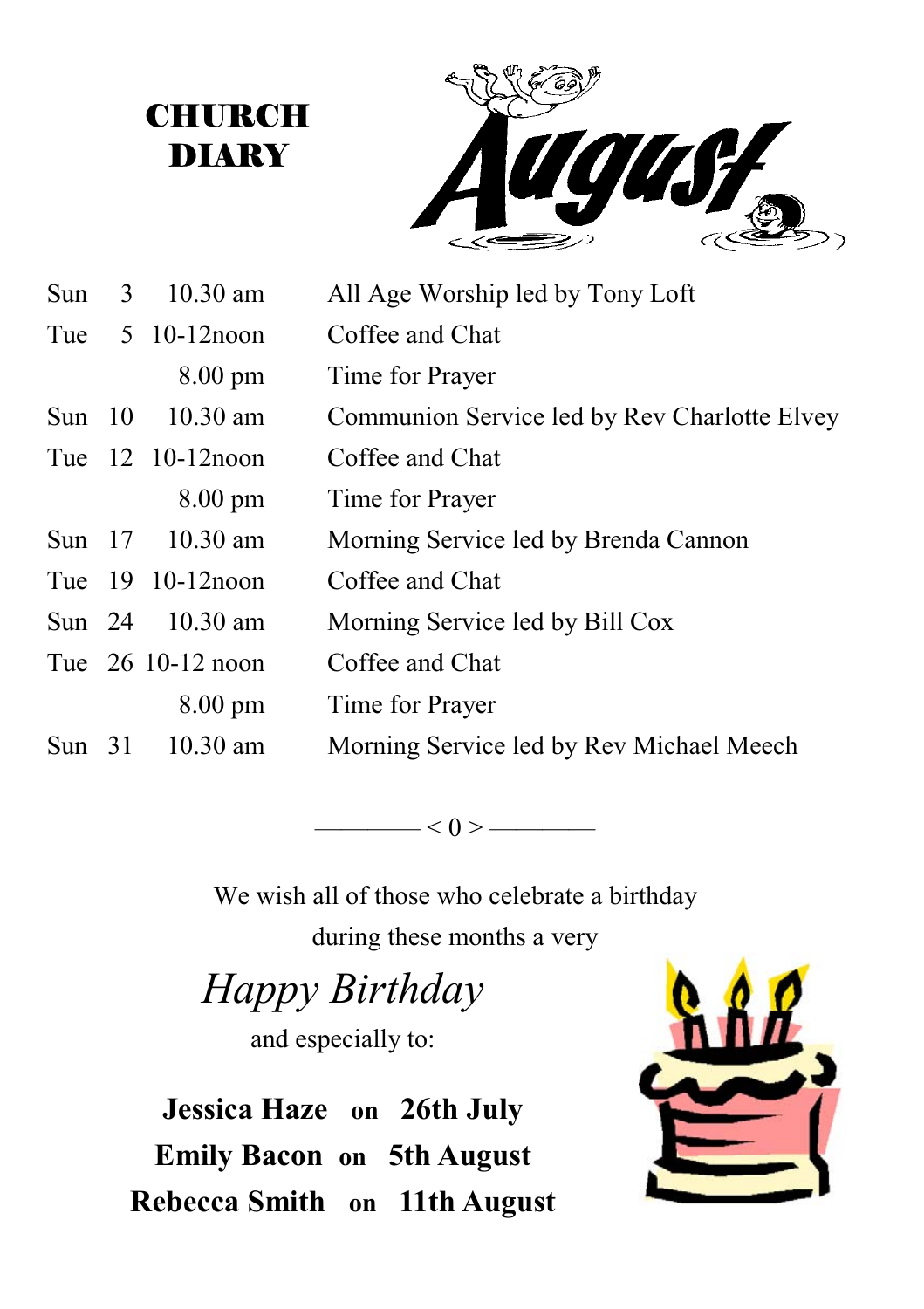**CHURCH DIARY** 



| Sun      | 3 10.30 am                              | All Age Worship led by Tony Loft             |
|----------|-----------------------------------------|----------------------------------------------|
|          | Tue $5 \t10-12$ noon<br>Coffee and Chat |                                              |
|          | $8.00 \text{ pm}$                       | Time for Prayer                              |
|          | Sun $10 \t 10.30$ am                    | Communion Service led by Rev Charlotte Elvey |
|          | Tue 12 10-12 noon                       | Coffee and Chat                              |
|          | $8.00 \text{ pm}$                       | Time for Prayer                              |
|          | Sun 17 10.30 am                         | Morning Service led by Brenda Cannon         |
|          | Tue 19 10-12 noon                       | Coffee and Chat                              |
|          | Sun 24 10.30 am                         | Morning Service led by Bill Cox              |
|          | Tue 26 10-12 noon                       | Coffee and Chat                              |
|          | $8.00 \text{ pm}$                       | Time for Prayer                              |
| Sun $31$ | $10.30$ am                              | Morning Service led by Rev Michael Meech     |
|          |                                         |                                              |

 $\leq 0$  >  $\leq$ 

We wish all of those who celebrate a birthday during these months a very

*Happy Birthday* 

and especially to:

**Jessica Haze on 26th July Emily Bacon on 5th August Rebecca Smith on 11th August**